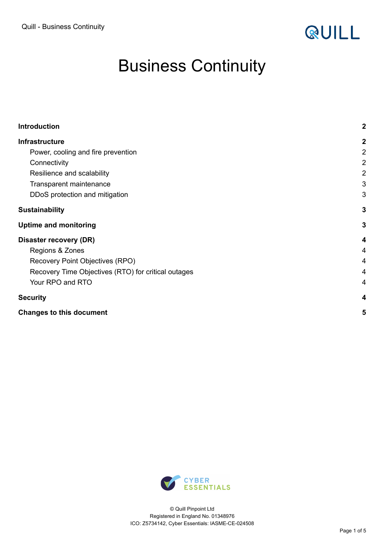

# Business Continuity

| <b>Introduction</b>                                 | $\boldsymbol{2}$ |
|-----------------------------------------------------|------------------|
| <b>Infrastructure</b>                               | $\boldsymbol{2}$ |
| Power, cooling and fire prevention                  | $\overline{2}$   |
| Connectivity                                        | $\overline{2}$   |
| Resilience and scalability                          | $\overline{2}$   |
| Transparent maintenance                             | 3                |
| DDoS protection and mitigation                      | 3                |
| <b>Sustainability</b>                               | $\mathbf{3}$     |
| <b>Uptime and monitoring</b>                        | $\mathbf{3}$     |
| Disaster recovery (DR)                              | 4                |
| Regions & Zones                                     | 4                |
| Recovery Point Objectives (RPO)                     | 4                |
| Recovery Time Objectives (RTO) for critical outages | 4                |
| Your RPO and RTO                                    | 4                |
| <b>Security</b>                                     | 4                |
| <b>Changes to this document</b>                     | 5                |

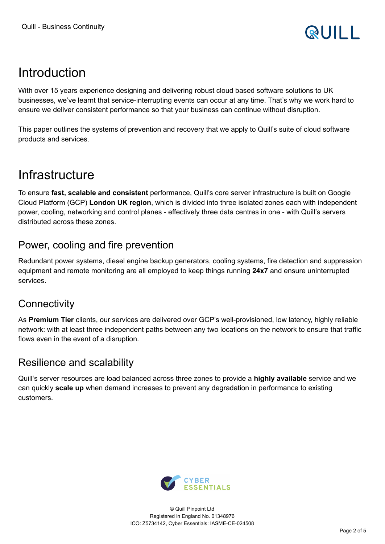# <span id="page-1-0"></span>Introduction

With over 15 years experience designing and delivering robust cloud based software solutions to UK businesses, we've learnt that service-interrupting events can occur at any time. That's why we work hard to ensure we deliver consistent performance so that your business can continue without disruption.

This paper outlines the systems of prevention and recovery that we apply to Quill's suite of cloud software products and services.

### <span id="page-1-1"></span>**Infrastructure**

To ensure **fast, scalable and consistent** performance, Quill's core server infrastructure is built on Google Cloud Platform (GCP) **London UK region**, which is divided into three isolated zones each with independent power, cooling, networking and control planes - effectively three data centres in one - with Quill's servers distributed across these zones.

#### <span id="page-1-2"></span>Power, cooling and fire prevention

Redundant power systems, diesel engine backup generators, cooling systems, fire detection and suppression equipment and remote monitoring are all employed to keep things running **24x7** and ensure uninterrupted services.

#### <span id="page-1-3"></span>**Connectivity**

As **Premium Tier** clients, our services are delivered over GCP's well-provisioned, low latency, highly reliable network: with at least three independent paths between any two locations on the network to ensure that traffic flows even in the event of a disruption.

#### <span id="page-1-4"></span>Resilience and scalability

Quill's server resources are load balanced across three zones to provide a **highly available** service and we can quickly **scale up** when demand increases to prevent any degradation in performance to existing customers.

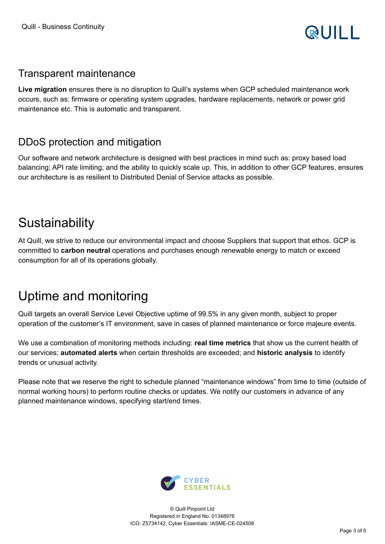

#### <span id="page-2-0"></span>Transparent maintenance

**Live migration** ensures there is no disruption to Quill's systems when GCP scheduled maintenance work occurs, such as: firmware or operating system upgrades, hardware replacements, network or power grid maintenance etc. This is automatic and transparent.

#### <span id="page-2-1"></span>DDoS protection and mitigation

Our software and network architecture is designed with best practices in mind such as: proxy based load balancing; API rate limiting; and the ability to quickly scale up. This, in addition to other GCP features, ensures our architecture is as resilient to Distributed Denial of Service attacks as possible.

### <span id="page-2-2"></span>**Sustainability**

At Quill, we strive to reduce our environmental impact and choose Suppliers that support that ethos. GCP is committed to **carbon neutral** operations and purchases enough renewable energy to match or exceed consumption for all of its operations globally.

## <span id="page-2-3"></span>Uptime and monitoring

Quill targets an overall Service Level Objective uptime of 99.5% in any given month, subject to proper operation of the customer's IT environment, save in cases of planned maintenance or force majeure events.

We use a combination of monitoring methods including: **real time metrics** that show us the current health of our services; **automated alerts** when certain thresholds are exceeded; and **historic analysis** to identify trends or unusual activity.

Please note that we reserve the right to schedule planned "maintenance windows" from time to time (outside of normal working hours) to perform routine checks or updates. We notify our customers in advance of any planned maintenance windows, specifying start/end times.

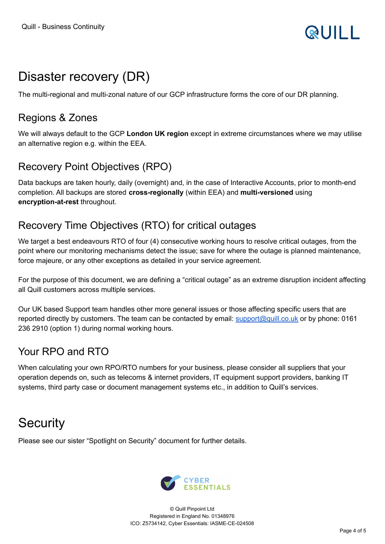# <span id="page-3-0"></span>Disaster recovery (DR)

<span id="page-3-1"></span>The multi-regional and multi-zonal nature of our GCP infrastructure forms the core of our DR planning.

#### Regions & Zones

We will always default to the GCP **London UK region** except in extreme circumstances where we may utilise an alternative region e.g. within the EEA.

### <span id="page-3-2"></span>Recovery Point Objectives (RPO)

Data backups are taken hourly, daily (overnight) and, in the case of Interactive Accounts, prior to month-end completion. All backups are stored **cross-regionally** (within EEA) and **multi-versioned** using **encryption-at-rest** throughout.

### <span id="page-3-3"></span>Recovery Time Objectives (RTO) for critical outages

We target a best endeavours RTO of four (4) consecutive working hours to resolve critical outages, from the point where our monitoring mechanisms detect the issue; save for where the outage is planned maintenance, force majeure, or any other exceptions as detailed in your service agreement.

For the purpose of this document, we are defining a "critical outage" as an extreme disruption incident affecting all Quill customers across multiple services.

Our UK based Support team handles other more general issues or those affecting specific users that are reported directly by customers. The team can be contacted by email: [support@quill.co.uk](mailto:support@quill.co.uk) or by phone: 0161 236 2910 (option 1) during normal working hours.

### <span id="page-3-4"></span>Your RPO and RTO

When calculating your own RPO/RTO numbers for your business, please consider all suppliers that your operation depends on, such as telecoms & internet providers, IT equipment support providers, banking IT systems, third party case or document management systems etc., in addition to Quill's services.

## <span id="page-3-5"></span>**Security**

Please see our sister "Spotlight on Security" document for further details.